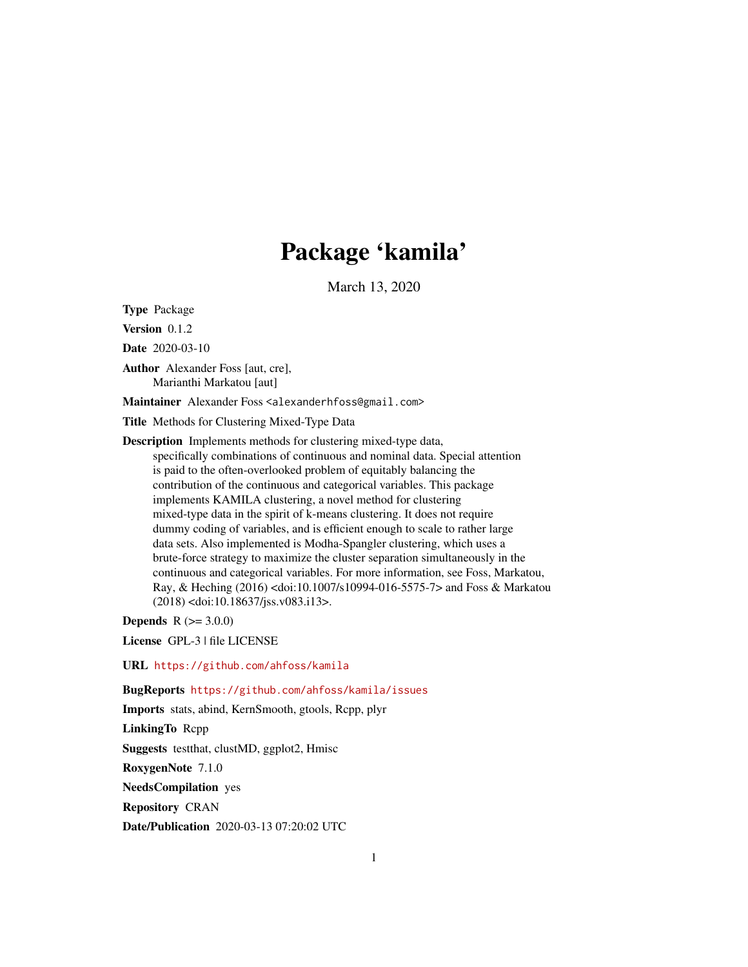# Package 'kamila'

March 13, 2020

<span id="page-0-0"></span>Type Package

Version 0.1.2

Date 2020-03-10

Author Alexander Foss [aut, cre], Marianthi Markatou [aut]

Maintainer Alexander Foss <alexanderhfoss@gmail.com>

Title Methods for Clustering Mixed-Type Data

Description Implements methods for clustering mixed-type data,

specifically combinations of continuous and nominal data. Special attention is paid to the often-overlooked problem of equitably balancing the contribution of the continuous and categorical variables. This package implements KAMILA clustering, a novel method for clustering mixed-type data in the spirit of k-means clustering. It does not require dummy coding of variables, and is efficient enough to scale to rather large data sets. Also implemented is Modha-Spangler clustering, which uses a brute-force strategy to maximize the cluster separation simultaneously in the continuous and categorical variables. For more information, see Foss, Markatou, Ray, & Heching (2016) <doi:10.1007/s10994-016-5575-7> and Foss & Markatou (2018) <doi:10.18637/jss.v083.i13>.

**Depends**  $R (= 3.0.0)$ 

License GPL-3 | file LICENSE

URL <https://github.com/ahfoss/kamila>

BugReports <https://github.com/ahfoss/kamila/issues>

Imports stats, abind, KernSmooth, gtools, Rcpp, plyr

LinkingTo Rcpp

Suggests testthat, clustMD, ggplot2, Hmisc

RoxygenNote 7.1.0

NeedsCompilation yes

Repository CRAN

Date/Publication 2020-03-13 07:20:02 UTC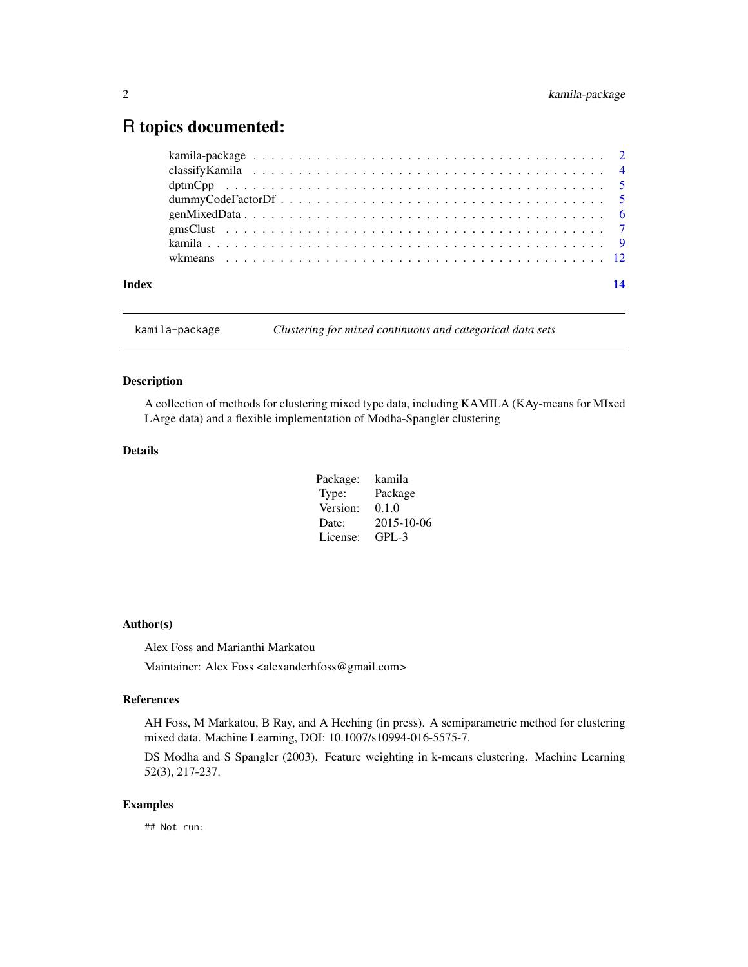# <span id="page-1-0"></span>R topics documented:

| Index |  |
|-------|--|
|       |  |

kamila-package *Clustering for mixed continuous and categorical data sets*

#### Description

A collection of methods for clustering mixed type data, including KAMILA (KAy-means for MIxed LArge data) and a flexible implementation of Modha-Spangler clustering

# Details

| Package: | kamila     |
|----------|------------|
| Type:    | Package    |
| Version: | 0.1.0      |
| Date:    | 2015-10-06 |
| License: | GPL-3      |

# Author(s)

Alex Foss and Marianthi Markatou

Maintainer: Alex Foss <alexanderhfoss@gmail.com>

#### References

AH Foss, M Markatou, B Ray, and A Heching (in press). A semiparametric method for clustering mixed data. Machine Learning, DOI: 10.1007/s10994-016-5575-7.

DS Modha and S Spangler (2003). Feature weighting in k-means clustering. Machine Learning 52(3), 217-237.

# Examples

## Not run: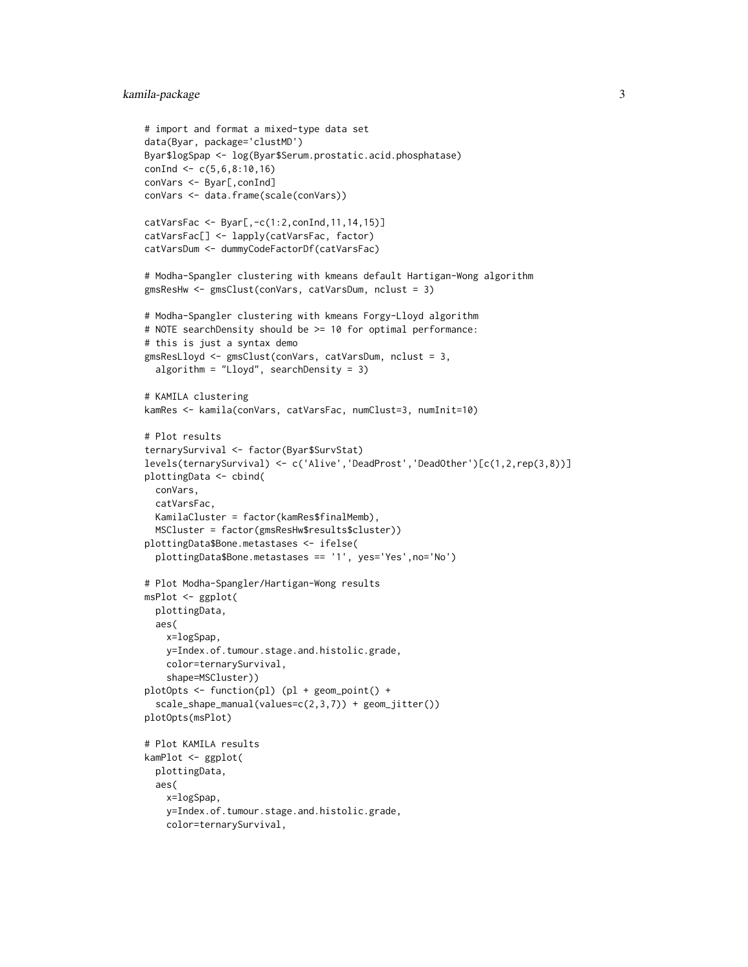# kamila-package 3

```
# import and format a mixed-type data set
data(Byar, package='clustMD')
Byar$logSpap <- log(Byar$Serum.prostatic.acid.phosphatase)
conInd \leq -c(5, 6, 8:10, 16)conVars <- Byar[,conInd]
conVars <- data.frame(scale(conVars))
catVarsFac <- Byar[,-c(1:2,conInd,11,14,15)]
catVarsFac[] <- lapply(catVarsFac, factor)
catVarsDum <- dummyCodeFactorDf(catVarsFac)
# Modha-Spangler clustering with kmeans default Hartigan-Wong algorithm
gmsResHw <- gmsClust(conVars, catVarsDum, nclust = 3)
# Modha-Spangler clustering with kmeans Forgy-Lloyd algorithm
# NOTE searchDensity should be >= 10 for optimal performance:
# this is just a syntax demo
gmsResLloyd <- gmsClust(conVars, catVarsDum, nclust = 3,
  algorithm = "Lloyd", searchDensity = 3)
# KAMILA clustering
kamRes <- kamila(conVars, catVarsFac, numClust=3, numInit=10)
# Plot results
ternarySurvival <- factor(Byar$SurvStat)
levels(ternarySurvival) <- c('Alive','DeadProst','DeadOther')[c(1,2,rep(3,8))]
plottingData <- cbind(
  conVars,
  catVarsFac,
  KamilaCluster = factor(kamRes$finalMemb),
  MSCluster = factor(gmsResHw$results$cluster))
plottingData$Bone.metastases <- ifelse(
  plottingData$Bone.metastases == '1', yes='Yes',no='No')
# Plot Modha-Spangler/Hartigan-Wong results
msPlot <- ggplot(
  plottingData,
  aes(
    x=logSpap,
    y=Index.of.tumour.stage.and.histolic.grade,
    color=ternarySurvival,
    shape=MSCluster))
plotOpts <- function(pl) (pl + geom_point() +
  scale_shape_manual(values=c(2,3,7)) + geom_jitter())
plotOpts(msPlot)
# Plot KAMILA results
kamPlot <- ggplot(
  plottingData,
  aes(
    x=logSpap,
    y=Index.of.tumour.stage.and.histolic.grade,
    color=ternarySurvival,
```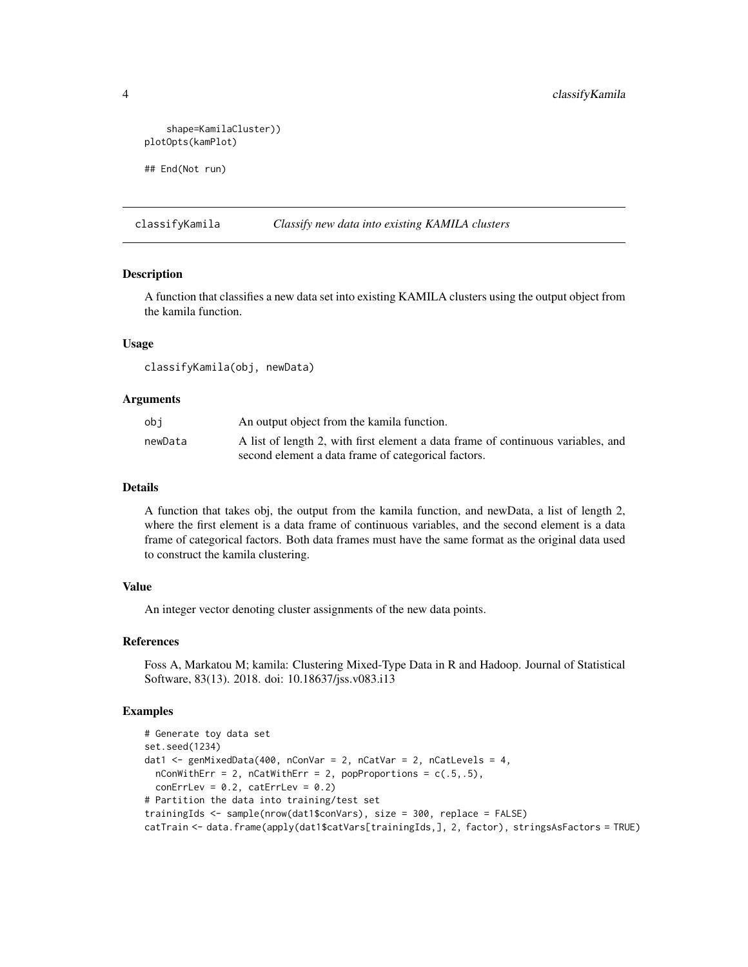```
shape=KamilaCluster))
plotOpts(kamPlot)
## End(Not run)
```
classifyKamila *Classify new data into existing KAMILA clusters*

# Description

A function that classifies a new data set into existing KAMILA clusters using the output object from the kamila function.

#### Usage

classifyKamila(obj, newData)

#### Arguments

| obi     | An output object from the kamila function.                                       |
|---------|----------------------------------------------------------------------------------|
| newData | A list of length 2, with first element a data frame of continuous variables, and |
|         | second element a data frame of categorical factors.                              |

#### Details

A function that takes obj, the output from the kamila function, and newData, a list of length 2, where the first element is a data frame of continuous variables, and the second element is a data frame of categorical factors. Both data frames must have the same format as the original data used to construct the kamila clustering.

#### Value

An integer vector denoting cluster assignments of the new data points.

#### References

Foss A, Markatou M; kamila: Clustering Mixed-Type Data in R and Hadoop. Journal of Statistical Software, 83(13). 2018. doi: 10.18637/jss.v083.i13

### Examples

```
# Generate toy data set
set.seed(1234)
dat1 <- genMixedData(400, nConVar = 2, nCatVar = 2, nCatLevels = 4,
 nConWithErr = 2, nCatWithErr = 2, popProportions = c(.5,.5),
 conErrLev = 0.2, catErrLev = 0.2)
# Partition the data into training/test set
trainingIds <- sample(nrow(dat1$conVars), size = 300, replace = FALSE)
catTrain <- data.frame(apply(dat1$catVars[trainingIds,], 2, factor), stringsAsFactors = TRUE)
```
<span id="page-3-0"></span>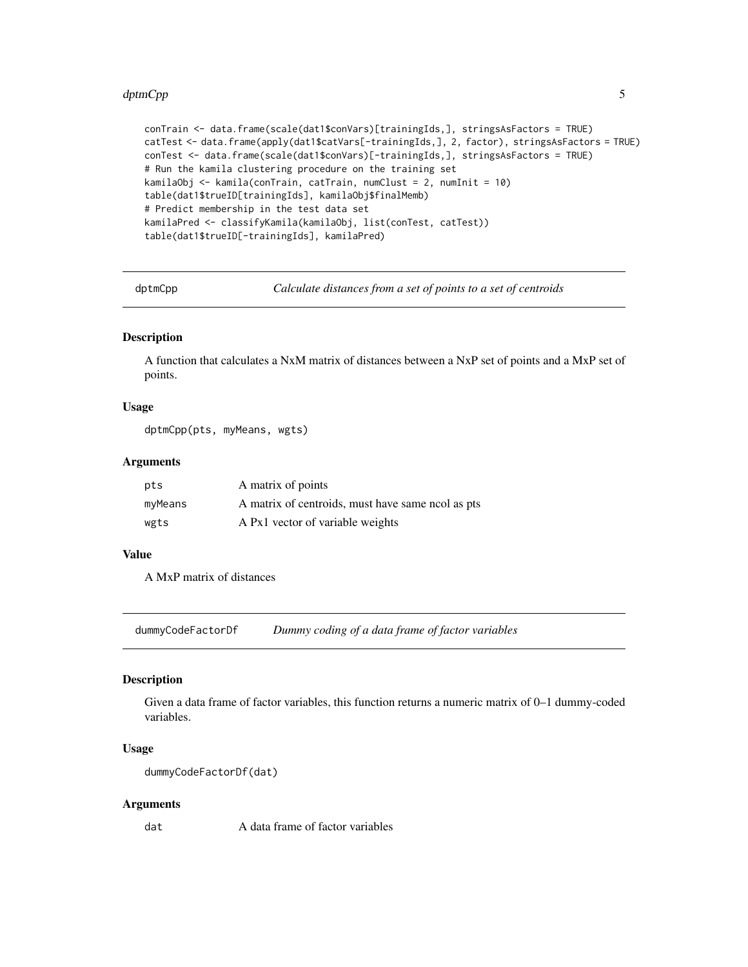#### <span id="page-4-0"></span>dptmCpp 55

```
conTrain <- data.frame(scale(dat1$conVars)[trainingIds,], stringsAsFactors = TRUE)
catTest <- data.frame(apply(dat1$catVars[-trainingIds,], 2, factor), stringsAsFactors = TRUE)
conTest <- data.frame(scale(dat1$conVars)[-trainingIds,], stringsAsFactors = TRUE)
# Run the kamila clustering procedure on the training set
kamilaObj <- kamila(conTrain, catTrain, numClust = 2, numInit = 10)
table(dat1$trueID[trainingIds], kamilaObj$finalMemb)
# Predict membership in the test data set
kamilaPred <- classifyKamila(kamilaObj, list(conTest, catTest))
table(dat1$trueID[-trainingIds], kamilaPred)
```
dptmCpp *Calculate distances from a set of points to a set of centroids*

#### Description

A function that calculates a NxM matrix of distances between a NxP set of points and a MxP set of points.

#### Usage

dptmCpp(pts, myMeans, wgts)

# Arguments

| pts     | A matrix of points                                |
|---------|---------------------------------------------------|
| myMeans | A matrix of centroids, must have same nool as pts |
| wgts    | A Px1 vector of variable weights                  |

#### Value

A MxP matrix of distances

<span id="page-4-1"></span>dummyCodeFactorDf *Dummy coding of a data frame of factor variables*

#### Description

Given a data frame of factor variables, this function returns a numeric matrix of 0–1 dummy-coded variables.

#### Usage

```
dummyCodeFactorDf(dat)
```
#### Arguments

dat A data frame of factor variables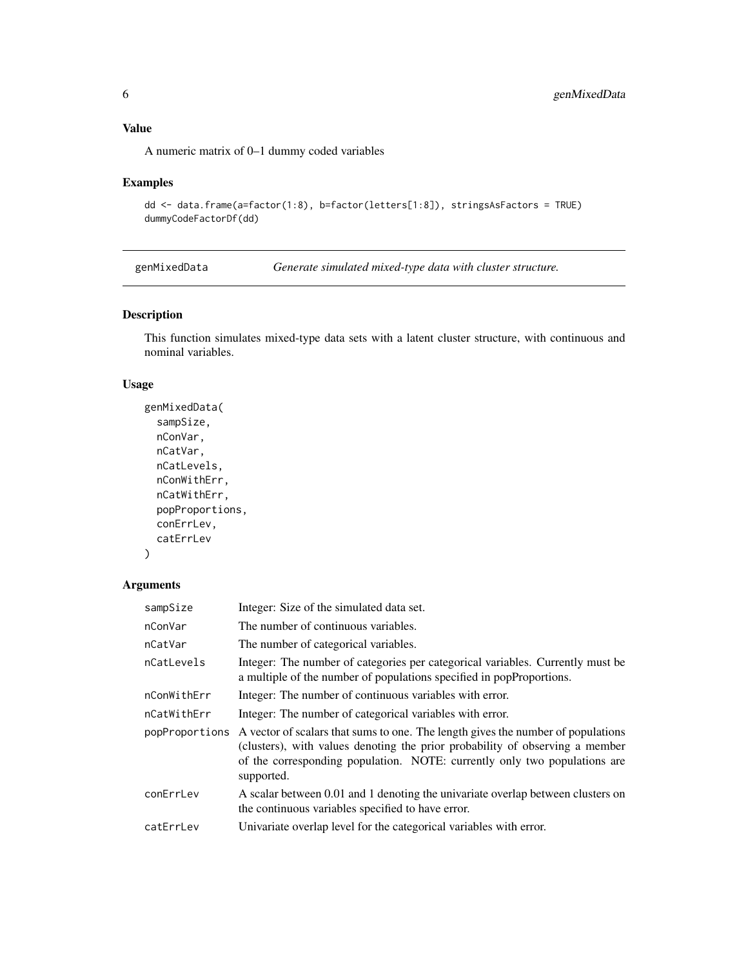<span id="page-5-0"></span>A numeric matrix of 0–1 dummy coded variables

## Examples

```
dd <- data.frame(a=factor(1:8), b=factor(letters[1:8]), stringsAsFactors = TRUE)
dummyCodeFactorDf(dd)
```
genMixedData *Generate simulated mixed-type data with cluster structure.*

# Description

This function simulates mixed-type data sets with a latent cluster structure, with continuous and nominal variables.

# Usage

```
genMixedData(
  sampSize,
  nConVar,
  nCatVar,
  nCatLevels,
  nConWithErr,
  nCatWithErr,
  popProportions,
  conErrLev,
  catErrLev
```
# $\mathcal{L}$

# Arguments

| sampSize       | Integer: Size of the simulated data set.                                                                                                                                                                                                                    |
|----------------|-------------------------------------------------------------------------------------------------------------------------------------------------------------------------------------------------------------------------------------------------------------|
| nConVar        | The number of continuous variables.                                                                                                                                                                                                                         |
| nCatVar        | The number of categorical variables.                                                                                                                                                                                                                        |
| nCatLevels     | Integer: The number of categories per categorical variables. Currently must be<br>a multiple of the number of populations specified in popProportions.                                                                                                      |
| nConWithErr    | Integer: The number of continuous variables with error.                                                                                                                                                                                                     |
| nCatWithErr    | Integer: The number of categorical variables with error.                                                                                                                                                                                                    |
| popProportions | A vector of scalars that sums to one. The length gives the number of populations<br>(clusters), with values denoting the prior probability of observing a member<br>of the corresponding population. NOTE: currently only two populations are<br>supported. |
| conErrLev      | A scalar between 0.01 and 1 denoting the univariate overlap between clusters on<br>the continuous variables specified to have error.                                                                                                                        |
| catErrLev      | Univariate overlap level for the categorical variables with error.                                                                                                                                                                                          |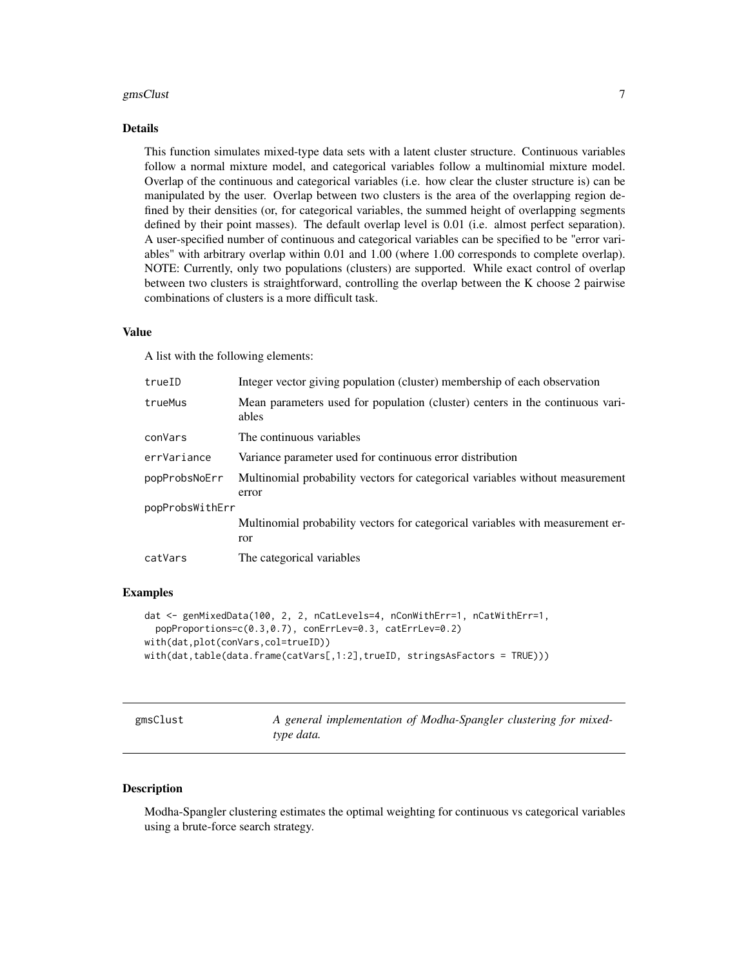#### <span id="page-6-0"></span>gmsClust 7

#### Details

This function simulates mixed-type data sets with a latent cluster structure. Continuous variables follow a normal mixture model, and categorical variables follow a multinomial mixture model. Overlap of the continuous and categorical variables (i.e. how clear the cluster structure is) can be manipulated by the user. Overlap between two clusters is the area of the overlapping region defined by their densities (or, for categorical variables, the summed height of overlapping segments defined by their point masses). The default overlap level is 0.01 (i.e. almost perfect separation). A user-specified number of continuous and categorical variables can be specified to be "error variables" with arbitrary overlap within 0.01 and 1.00 (where 1.00 corresponds to complete overlap). NOTE: Currently, only two populations (clusters) are supported. While exact control of overlap between two clusters is straightforward, controlling the overlap between the K choose 2 pairwise combinations of clusters is a more difficult task.

#### Value

A list with the following elements:

| trueID          | Integer vector giving population (cluster) membership of each observation              |
|-----------------|----------------------------------------------------------------------------------------|
| trueMus         | Mean parameters used for population (cluster) centers in the continuous vari-<br>ables |
| conVars         | The continuous variables                                                               |
| errVariance     | Variance parameter used for continuous error distribution                              |
| popProbsNoErr   | Multinomial probability vectors for categorical variables without measurement<br>error |
| popProbsWithErr |                                                                                        |
|                 | Multinomial probability vectors for categorical variables with measurement er-<br>ror  |
| catVars         | The categorical variables                                                              |

### Examples

```
dat <- genMixedData(100, 2, 2, nCatLevels=4, nConWithErr=1, nCatWithErr=1,
 popProportions=c(0.3,0.7), conErrLev=0.3, catErrLev=0.2)
with(dat,plot(conVars,col=trueID))
with(dat,table(data.frame(catVars[,1:2],trueID, stringsAsFactors = TRUE)))
```
A general implementation of Modha-Spangler clustering for mixed*type data.*

#### Description

Modha-Spangler clustering estimates the optimal weighting for continuous vs categorical variables using a brute-force search strategy.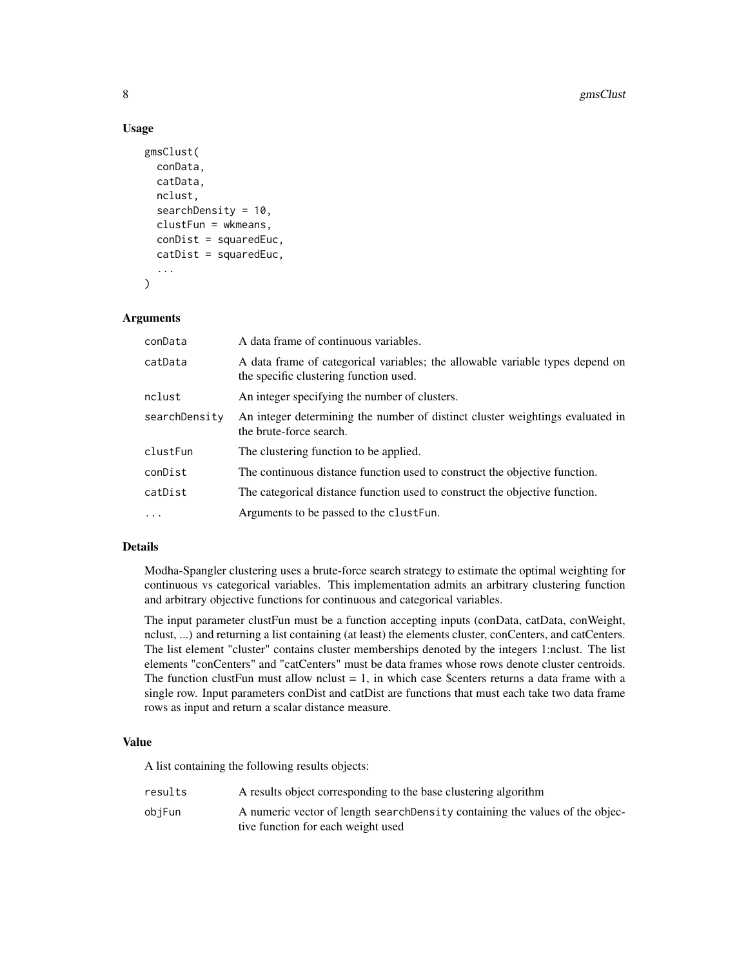#### Usage

```
gmsClust(
  conData,
  catData,
  nclust,
  searchDensity = 10,
  clustFun = wkmeans,
  conDist = squaredEuc,
  catDist = squaredEuc,
  ...
)
```
#### **Arguments**

| conData       | A data frame of continuous variables.                                                                                   |
|---------------|-------------------------------------------------------------------------------------------------------------------------|
| catData       | A data frame of categorical variables; the allowable variable types depend on<br>the specific clustering function used. |
| nclust        | An integer specifying the number of clusters.                                                                           |
| searchDensity | An integer determining the number of distinct cluster weightings evaluated in<br>the brute-force search.                |
| clustFun      | The clustering function to be applied.                                                                                  |
| conDist       | The continuous distance function used to construct the objective function.                                              |
| catDist       | The categorical distance function used to construct the objective function.                                             |
| $\ddots$      | Arguments to be passed to the clust Fun.                                                                                |

#### Details

Modha-Spangler clustering uses a brute-force search strategy to estimate the optimal weighting for continuous vs categorical variables. This implementation admits an arbitrary clustering function and arbitrary objective functions for continuous and categorical variables.

The input parameter clustFun must be a function accepting inputs (conData, catData, conWeight, nclust, ...) and returning a list containing (at least) the elements cluster, conCenters, and catCenters. The list element "cluster" contains cluster memberships denoted by the integers 1:nclust. The list elements "conCenters" and "catCenters" must be data frames whose rows denote cluster centroids. The function clustFun must allow nclust  $= 1$ , in which case \$centers returns a data frame with a single row. Input parameters conDist and catDist are functions that must each take two data frame rows as input and return a scalar distance measure.

#### Value

A list containing the following results objects:

| results | A results object corresponding to the base clustering algorithm               |
|---------|-------------------------------------------------------------------------------|
| objFun  | A numeric vector of length search Density containing the values of the objec- |
|         | tive function for each weight used                                            |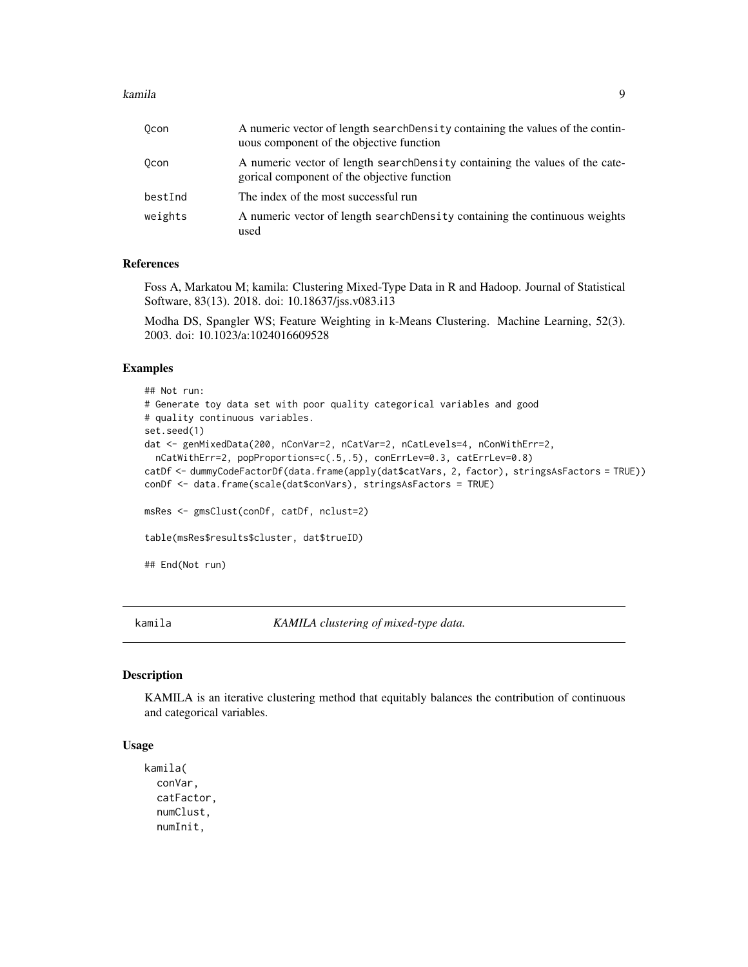#### <span id="page-8-0"></span>kamila 9

| 0con    | A numeric vector of length searchDensity containing the values of the contin-<br>uous component of the objective function   |
|---------|-----------------------------------------------------------------------------------------------------------------------------|
| 0con    | A numeric vector of length search Density containing the values of the cate-<br>gorical component of the objective function |
| bestInd | The index of the most successful run                                                                                        |
| weights | A numeric vector of length searchDensity containing the continuous weights<br>used                                          |

#### References

Foss A, Markatou M; kamila: Clustering Mixed-Type Data in R and Hadoop. Journal of Statistical Software, 83(13). 2018. doi: 10.18637/jss.v083.i13

Modha DS, Spangler WS; Feature Weighting in k-Means Clustering. Machine Learning, 52(3). 2003. doi: 10.1023/a:1024016609528

# Examples

```
## Not run:
# Generate toy data set with poor quality categorical variables and good
# quality continuous variables.
set.seed(1)
dat <- genMixedData(200, nConVar=2, nCatVar=2, nCatLevels=4, nConWithErr=2,
 nCatWithErr=2, popProportions=c(.5,.5), conErrLev=0.3, catErrLev=0.8)
catDf <- dummyCodeFactorDf(data.frame(apply(dat$catVars, 2, factor), stringsAsFactors = TRUE))
conDf <- data.frame(scale(dat$conVars), stringsAsFactors = TRUE)
msRes <- gmsClust(conDf, catDf, nclust=2)
table(msRes$results$cluster, dat$trueID)
## End(Not run)
```
kamila *KAMILA clustering of mixed-type data.*

#### Description

KAMILA is an iterative clustering method that equitably balances the contribution of continuous and categorical variables.

# Usage

```
kamila(
  conVar,
  catFactor,
  numClust,
  numInit,
```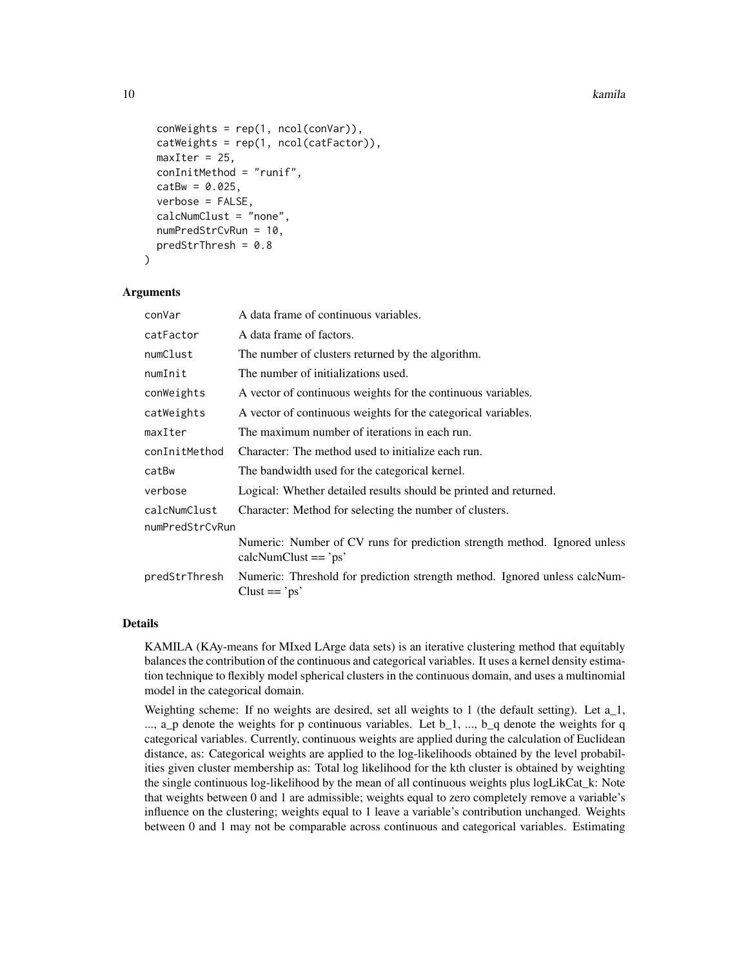```
conWeights = rep(1, ncol(conVar)),catWeights = rep(1, ncol(catFactor)),maxIter = 25,
conInitMethod = "runif",
catBw = 0.025,
verbose = FALSE,
calcNumClust = "none",
numPredStrCvRun = 10,
predStrThresh = 0.8
```

```
)
```
#### Arguments

| conVar          | A data frame of continuous variables.                                                                |
|-----------------|------------------------------------------------------------------------------------------------------|
| catFactor       | A data frame of factors.                                                                             |
| numClust        | The number of clusters returned by the algorithm.                                                    |
| numInit         | The number of initializations used.                                                                  |
| conWeights      | A vector of continuous weights for the continuous variables.                                         |
| catWeights      | A vector of continuous weights for the categorical variables.                                        |
| maxIter         | The maximum number of iterations in each run.                                                        |
| conInitMethod   | Character: The method used to initialize each run.                                                   |
| catBw           | The bandwidth used for the categorical kernel.                                                       |
| verbose         | Logical: Whether detailed results should be printed and returned.                                    |
| calcNumClust    | Character: Method for selecting the number of clusters.                                              |
| numPredStrCvRun |                                                                                                      |
|                 | Numeric: Number of CV runs for prediction strength method. Ignored unless<br>$calN$ WinClust == 'ps' |
| predStrThresh   | Numeric: Threshold for prediction strength method. Ignored unless calcNum-<br>$Clust == 'ps'$        |
|                 |                                                                                                      |

# Details

KAMILA (KAy-means for MIxed LArge data sets) is an iterative clustering method that equitably balances the contribution of the continuous and categorical variables. It uses a kernel density estimation technique to flexibly model spherical clusters in the continuous domain, and uses a multinomial model in the categorical domain.

Weighting scheme: If no weights are desired, set all weights to 1 (the default setting). Let a\_1,  $\ldots$ , a\_p denote the weights for p continuous variables. Let  $b_1$ ,  $\ldots$ ,  $b_q$  denote the weights for q categorical variables. Currently, continuous weights are applied during the calculation of Euclidean distance, as: Categorical weights are applied to the log-likelihoods obtained by the level probabilities given cluster membership as: Total log likelihood for the kth cluster is obtained by weighting the single continuous log-likelihood by the mean of all continuous weights plus logLikCat\_k: Note that weights between 0 and 1 are admissible; weights equal to zero completely remove a variable's influence on the clustering; weights equal to 1 leave a variable's contribution unchanged. Weights between 0 and 1 may not be comparable across continuous and categorical variables. Estimating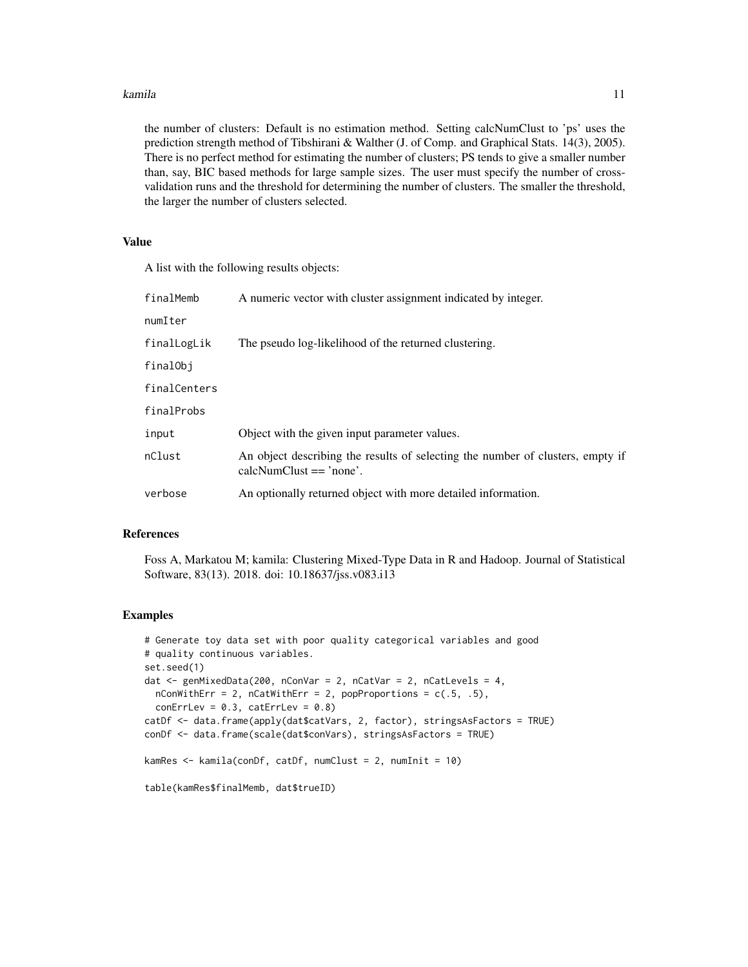#### kamila **11**

the number of clusters: Default is no estimation method. Setting calcNumClust to 'ps' uses the prediction strength method of Tibshirani & Walther (J. of Comp. and Graphical Stats. 14(3), 2005). There is no perfect method for estimating the number of clusters; PS tends to give a smaller number than, say, BIC based methods for large sample sizes. The user must specify the number of crossvalidation runs and the threshold for determining the number of clusters. The smaller the threshold, the larger the number of clusters selected.

# Value

A list with the following results objects:

| A numeric vector with cluster assignment indicated by integer.                                                |
|---------------------------------------------------------------------------------------------------------------|
|                                                                                                               |
| The pseudo log-likelihood of the returned clustering.                                                         |
|                                                                                                               |
|                                                                                                               |
|                                                                                                               |
| Object with the given input parameter values.                                                                 |
| An object describing the results of selecting the number of clusters, empty if<br>$calN$ umClust $==$ 'none'. |
| An optionally returned object with more detailed information.                                                 |
|                                                                                                               |

#### References

Foss A, Markatou M; kamila: Clustering Mixed-Type Data in R and Hadoop. Journal of Statistical Software, 83(13). 2018. doi: 10.18637/jss.v083.i13

#### Examples

```
# Generate toy data set with poor quality categorical variables and good
# quality continuous variables.
set.seed(1)
dat <- genMixedData(200, nConVar = 2, nCatVar = 2, nCatLevels = 4,
  nConWithErr = 2, nCatWithErr = 2, popProportions = c(.5, .5),
  conErrLev = 0.3, catErrLev = 0.8)
catDf <- data.frame(apply(dat$catVars, 2, factor), stringsAsFactors = TRUE)
conDf <- data.frame(scale(dat$conVars), stringsAsFactors = TRUE)
kamRes <- kamila(conDf, catDf, numClust = 2, numInit = 10)
table(kamRes$finalMemb, dat$trueID)
```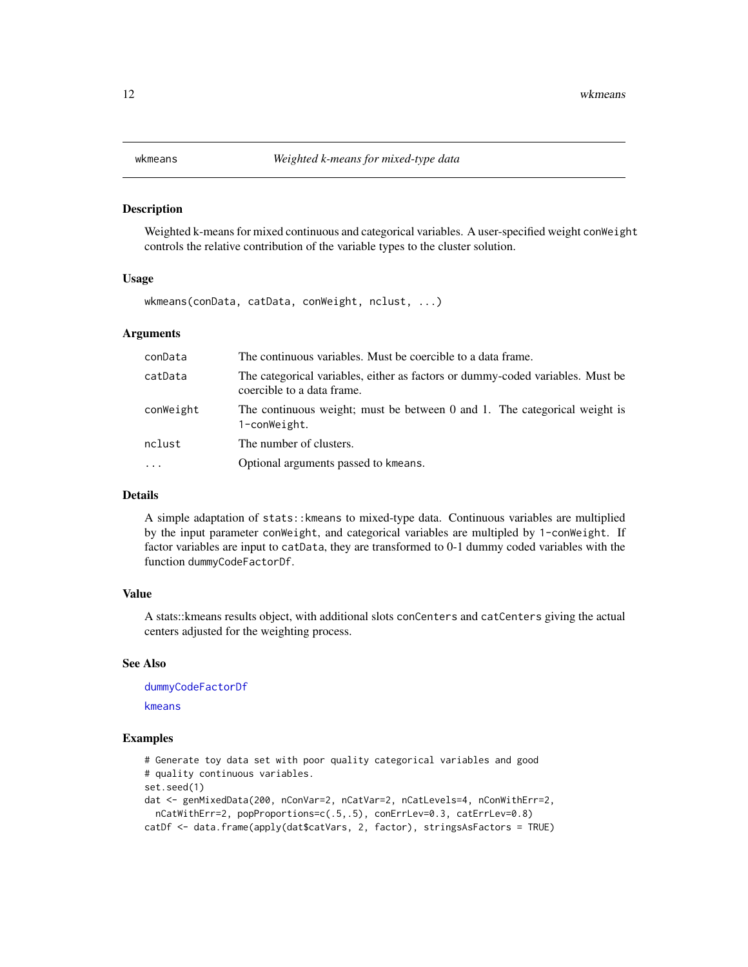<span id="page-11-0"></span>

#### Description

Weighted k-means for mixed continuous and categorical variables. A user-specified weight conWeight controls the relative contribution of the variable types to the cluster solution.

#### Usage

wkmeans(conData, catData, conWeight, nclust, ...)

### Arguments

| The continuous variables. Must be coercible to a data frame.                                                 |
|--------------------------------------------------------------------------------------------------------------|
| The categorical variables, either as factors or dummy-coded variables. Must be<br>coercible to a data frame. |
| The continuous weight; must be between 0 and 1. The categorical weight is<br>1-conWeight.                    |
| The number of clusters.                                                                                      |
| Optional arguments passed to kmeans.                                                                         |
|                                                                                                              |

#### Details

A simple adaptation of stats::kmeans to mixed-type data. Continuous variables are multiplied by the input parameter conWeight, and categorical variables are multipled by 1-conWeight. If factor variables are input to catData, they are transformed to 0-1 dummy coded variables with the function dummyCodeFactorDf.

### Value

A stats::kmeans results object, with additional slots conCenters and catCenters giving the actual centers adjusted for the weighting process.

#### See Also

[dummyCodeFactorDf](#page-4-1) [kmeans](#page-0-0)

#### Examples

```
# Generate toy data set with poor quality categorical variables and good
# quality continuous variables.
set.seed(1)
dat <- genMixedData(200, nConVar=2, nCatVar=2, nCatLevels=4, nConWithErr=2,
  nCatWithErr=2, popProportions=c(.5,.5), conErrLev=0.3, catErrLev=0.8)
catDf <- data.frame(apply(dat$catVars, 2, factor), stringsAsFactors = TRUE)
```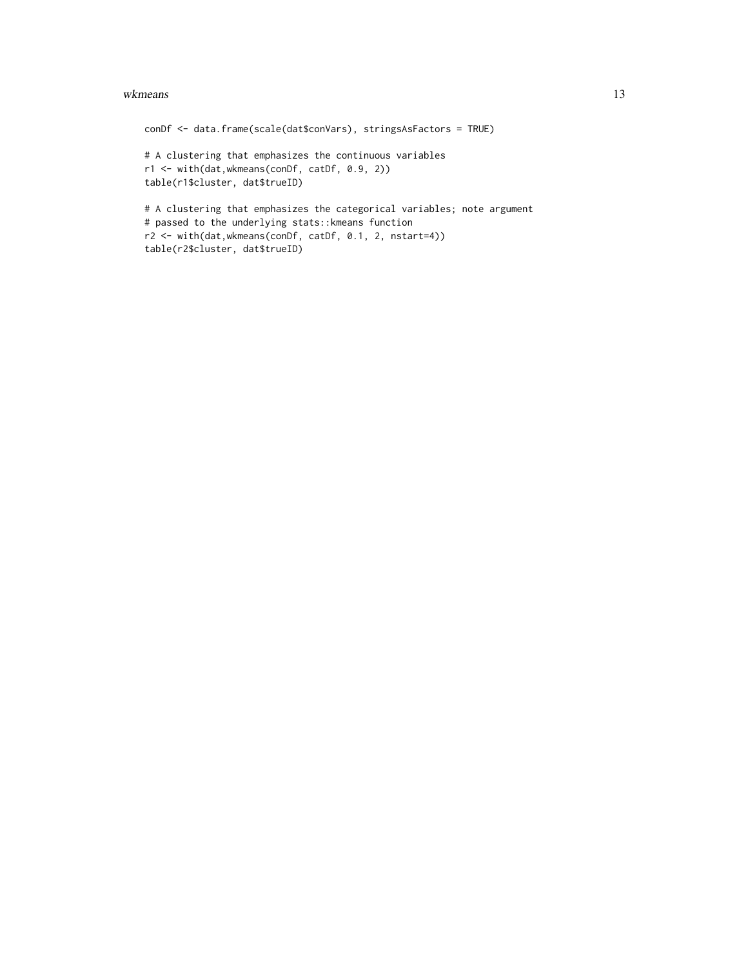#### wkmeans and the state of the state of the state of the state of the state of the state of the state of the state of the state of the state of the state of the state of the state of the state of the state of the state of th

conDf <- data.frame(scale(dat\$conVars), stringsAsFactors = TRUE) # A clustering that emphasizes the continuous variables r1 <- with(dat,wkmeans(conDf, catDf, 0.9, 2)) table(r1\$cluster, dat\$trueID) # A clustering that emphasizes the categorical variables; note argument # passed to the underlying stats::kmeans function r2 <- with(dat,wkmeans(conDf, catDf, 0.1, 2, nstart=4)) table(r2\$cluster, dat\$trueID)